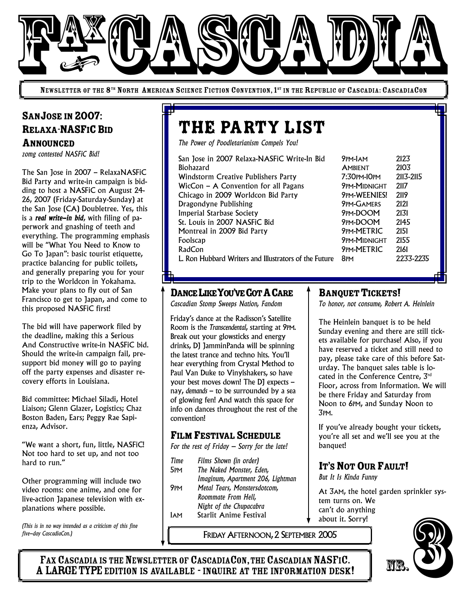

NEWSLETTER OF THE 8<sup>th</sup> North American Science Fiction Convention, 1<sup>st</sup> in the Republic of Cascadia: CascadiaCon

## SANJOSE IN 2007: RELAXA-NASFICBID ANNOUNCED

*zomg contested NASFiC Bid!*

The San Jose in 2007 – RelaxaNASFiC Bid Party and write-in campaign is bidding to host a NASFiC on August 24- 26, 2007 (Friday-Saturday-Sunday) at the San Jose (CA) Doubletree. Yes, this is a *real write-in bid*, with filing of paperwork and gnashing of teeth and everything. The programming emphasis will be "What You Need to Know to Go To Japan": basic tourist etiquette, practice balancing for public toilets, and generally preparing you for your trip to the Worldcon in Yokahama. Make your plans to fly out of San Francisco to get to Japan, and come to this proposed NASFiC first!

The bid will have paperwork filed by the deadline, making this a Serious And Constructive write-in NASFiC bid. Should the write-in campaign fail, presupport bid money will go to paying off the party expenses and disaster recovery efforts in Louisiana.

Bid committee: Michael Siladi, Hotel Liaison; Glenn Glazer, Logistics; Chaz Boston Baden, Ears; Peggy Rae Sapienza, Advisor.

"We want a short, fun, little, NASFiC! Not too hard to set up, and not too hard to run."

Other programming will include two video rooms: one anime, and one for live-action Japanese television with explanations where possible.

*(This is in no way intended as a criticism of this fine five-day CascadiaCon.)*

# the party list

*The Power of Poodletarianism Compels You!*

| San Jose in 2007 Relaxa-NASFiC Write-In Bid           | 9PM-JAM             | 2123      |
|-------------------------------------------------------|---------------------|-----------|
| <b>Biohazard</b>                                      | <b>AMBIENT</b>      | 2103      |
| <b>Windstorm Creative Publishers Party</b>            | 7:30PM-10PM         | 2113-2115 |
| WicCon $-$ A Convention for all Pagans                | <b>9PM-MIDNIGHT</b> | 2117      |
| Chicago in 2009 Worldcon Bid Party                    | 9PM-WEENIES!        | 2119      |
| Dragondyne Publishing                                 | <b>9PM-GAMERS</b>   | 2121      |
| <b>Imperial Starbase Society</b>                      | 9PM-DOOM            | 2131      |
| St. Louis in 2007 NASFiC Bid                          | 9PM-DOOM            | 2145      |
| Montreal in 2009 Bid Party                            | 9PM-METRIC          | 2151      |
| Foolscap                                              | <b>9PM-MIDNIGHT</b> | 2155      |
| RadCon                                                | 9PM-METRIC          | 2161      |
| L. Ron Hubbard Writers and Illustrators of the Future | 8 <sub>PM</sub>     | 2233-2235 |

| PM-lam        | 2123      |
|---------------|-----------|
| <b>MBIENT</b> | 2103      |
| :30pm=10pm    | 2113-2115 |
| pm-Midnight   | 2117      |
| pm-WEENIES!   | 2119      |
| pm-Gamers     | 2121      |
| PM-DOOM       | 2131      |
| PM-DOOM       | 2145      |
| pm-METRIC     | 2151      |
| pm-Midnight   | 2155      |
| pm-METRIC     | 2161      |
| PM            | 2233-22   |
|               |           |

DANCE LIKE YOU'VE GOT A CARE

*Cascadian Stomp Sweeps Nation, Fandom*

Friday's dance at the Radisson's Satellite Room is the *Transcendental*, starting at 9PM. Break out your glowsticks and energy drinks, DJ JamminPanda will be spinning the latest trance and techno hits. You'll hear everything from Crystal Method to Paul Van Duke to Vinylshakers, so have your best moves down! The DJ expects – nay, *demands* – to be surrounded by a sea of glowing fen! And watch this space for info on dances throughout the rest of the convention!

#### FILM FESTIVAL SCHEDULE

*For the rest of Friday – Sorry for the late!*

- *Time Films Shown (in order)* 5PM *The Naked Monster, Eden, Imaginum, Apartment 206, Lightman* 9PM *Metal Tears, Monstersdotcom, Roommate From Hell, Night of the Chupacabra*
	- 1AM Starlit Anime Festival

FRIDAY AFTERNOON,2 SEPTEMBER 2005

#### **BANQUET TICKETS!**

*To honor, not consume, Robert A. Heinlein*

The Heinlein banquet is to be held Sunday evening and there are still tickets available for purchase! Also, if you have reserved a ticket and still need to pay, please take care of this before Saturday. The banquet sales table is located in the Conference Centre, 3 rd Floor, across from Information. We will be there Friday and Saturday from Noon to 6PM, and Sunday Noon to 3PM.

If you've already bought your tickets, you're all set and we'll see you at the banquet!

## IT'S NOT OUR FAULT!

*But It Is Kinda Funny*

At 3AM, the hotel garden sprinkler system turns on. We can't do anything about it. Sorry!



FAX CASCADIA IS THE NEWSLETTER OF CASCADIACON, THE CASCADIAN NASFIC. A LARGE TYPE EDITION IS AVAILABLE - INQUIRE AT THE INFORMATION DESK!